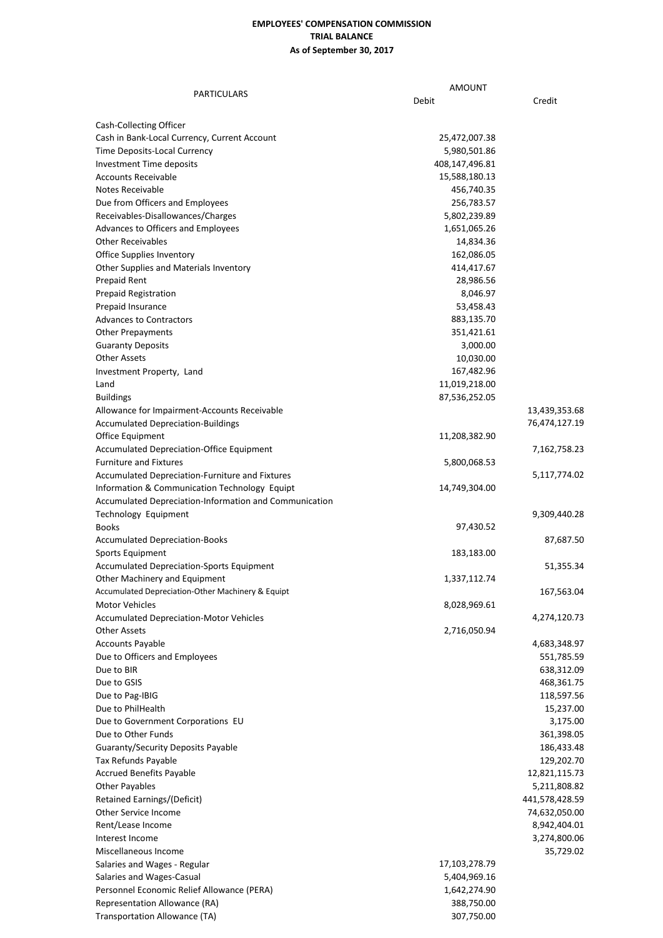## **EMPLOYEES' COMPENSATION COMMISSION TRIAL BALANCE As of September 30, 2017**

| PARTICULARS                                                                        | <b>AMOUNT</b>            |                |
|------------------------------------------------------------------------------------|--------------------------|----------------|
|                                                                                    | Debit                    | Credit         |
|                                                                                    |                          |                |
| Cash-Collecting Officer                                                            |                          |                |
| Cash in Bank-Local Currency, Current Account                                       | 25,472,007.38            |                |
| Time Deposits-Local Currency                                                       | 5,980,501.86             |                |
| <b>Investment Time deposits</b>                                                    | 408,147,496.81           |                |
| <b>Accounts Receivable</b>                                                         | 15,588,180.13            |                |
| Notes Receivable<br>Due from Officers and Employees                                | 456,740.35<br>256,783.57 |                |
| Receivables-Disallowances/Charges                                                  | 5,802,239.89             |                |
| Advances to Officers and Employees                                                 | 1,651,065.26             |                |
| <b>Other Receivables</b>                                                           | 14,834.36                |                |
| Office Supplies Inventory                                                          | 162,086.05               |                |
| Other Supplies and Materials Inventory                                             | 414,417.67               |                |
| Prepaid Rent                                                                       | 28,986.56                |                |
| <b>Prepaid Registration</b>                                                        | 8,046.97                 |                |
| Prepaid Insurance                                                                  | 53,458.43                |                |
| <b>Advances to Contractors</b>                                                     | 883,135.70               |                |
| <b>Other Prepayments</b>                                                           | 351,421.61               |                |
| <b>Guaranty Deposits</b>                                                           | 3,000.00                 |                |
| <b>Other Assets</b>                                                                | 10,030.00                |                |
| Investment Property, Land                                                          | 167,482.96               |                |
| Land                                                                               | 11,019,218.00            |                |
| <b>Buildings</b>                                                                   | 87,536,252.05            |                |
| Allowance for Impairment-Accounts Receivable                                       |                          | 13,439,353.68  |
| <b>Accumulated Depreciation-Buildings</b>                                          |                          | 76,474,127.19  |
| Office Equipment                                                                   | 11,208,382.90            |                |
| <b>Accumulated Depreciation-Office Equipment</b>                                   |                          | 7,162,758.23   |
| <b>Furniture and Fixtures</b>                                                      | 5,800,068.53             |                |
| Accumulated Depreciation-Furniture and Fixtures                                    |                          | 5,117,774.02   |
| Information & Communication Technology Equipt                                      | 14,749,304.00            |                |
| Accumulated Depreciation-Information and Communication                             |                          |                |
| Technology Equipment                                                               |                          | 9,309,440.28   |
| <b>Books</b>                                                                       | 97,430.52                |                |
| <b>Accumulated Depreciation-Books</b>                                              |                          | 87,687.50      |
| Sports Equipment                                                                   | 183,183.00               |                |
| <b>Accumulated Depreciation-Sports Equipment</b>                                   | 1,337,112.74             | 51,355.34      |
| Other Machinery and Equipment<br>Accumulated Depreciation-Other Machinery & Equipt |                          | 167,563.04     |
| <b>Motor Vehicles</b>                                                              | 8,028,969.61             |                |
| <b>Accumulated Depreciation-Motor Vehicles</b>                                     |                          | 4,274,120.73   |
| <b>Other Assets</b>                                                                | 2,716,050.94             |                |
| <b>Accounts Payable</b>                                                            |                          | 4,683,348.97   |
| Due to Officers and Employees                                                      |                          | 551,785.59     |
| Due to BIR                                                                         |                          | 638,312.09     |
| Due to GSIS                                                                        |                          | 468,361.75     |
| Due to Pag-IBIG                                                                    |                          | 118,597.56     |
| Due to PhilHealth                                                                  |                          | 15,237.00      |
| Due to Government Corporations EU                                                  |                          | 3,175.00       |
| Due to Other Funds                                                                 |                          | 361,398.05     |
| <b>Guaranty/Security Deposits Payable</b>                                          |                          | 186,433.48     |
| Tax Refunds Payable                                                                |                          | 129,202.70     |
| <b>Accrued Benefits Payable</b>                                                    |                          | 12,821,115.73  |
| <b>Other Payables</b>                                                              |                          | 5,211,808.82   |
| Retained Earnings/(Deficit)                                                        |                          | 441,578,428.59 |
| Other Service Income                                                               |                          | 74,632,050.00  |
| Rent/Lease Income                                                                  |                          | 8,942,404.01   |
| Interest Income                                                                    |                          | 3,274,800.06   |
| Miscellaneous Income                                                               |                          | 35,729.02      |
| Salaries and Wages - Regular                                                       | 17,103,278.79            |                |
| Salaries and Wages-Casual                                                          | 5,404,969.16             |                |
| Personnel Economic Relief Allowance (PERA)                                         | 1,642,274.90             |                |
| Representation Allowance (RA)                                                      | 388,750.00               |                |
| Transportation Allowance (TA)                                                      | 307,750.00               |                |